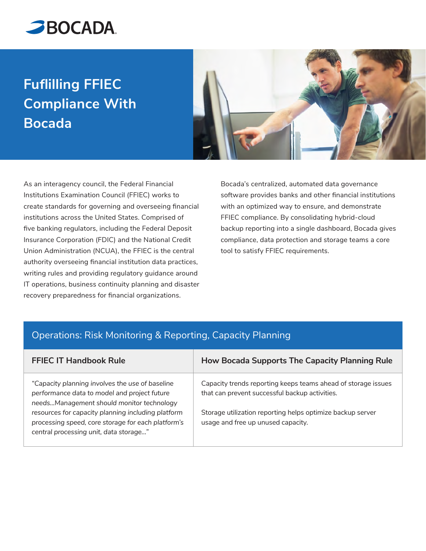

# **Fuflilling FFIEC Compliance With Bocada**



As an interagency council, the Federal Financial Institutions Examination Council (FFIEC) works to create standards for governing and overseeing financial institutions across the United States. Comprised of five banking regulators, including the Federal Deposit Insurance Corporation (FDIC) and the National Credit Union Administration (NCUA), the FFIEC is the central authority overseeing financial institution data practices, writing rules and providing regulatory guidance around IT operations, business continuity planning and disaster recovery preparedness for financial organizations.

Bocada's centralized, automated data governance software provides banks and other financial institutions with an optimized way to ensure, and demonstrate FFIEC compliance. By consolidating hybrid-cloud backup reporting into a single dashboard, Bocada gives compliance, data protection and storage teams a core tool to satisfy FFIEC requirements.

#### Operations: Risk Monitoring & Reporting, Capacity Planning

| <b>FFIEC IT Handbook Rule</b>                                                                                                                                                                                                                                                                      | <b>How Bocada Supports The Capacity Planning Rule</b>                                                                                                                                                               |
|----------------------------------------------------------------------------------------------------------------------------------------------------------------------------------------------------------------------------------------------------------------------------------------------------|---------------------------------------------------------------------------------------------------------------------------------------------------------------------------------------------------------------------|
| "Capacity planning involves the use of baseline<br>performance data to model and project future<br>needsManagement should monitor technology<br>resources for capacity planning including platform<br>processing speed, core storage for each platform's<br>central processing unit, data storage" | Capacity trends reporting keeps teams ahead of storage issues<br>that can prevent successful backup activities.<br>Storage utilization reporting helps optimize backup server<br>usage and free up unused capacity. |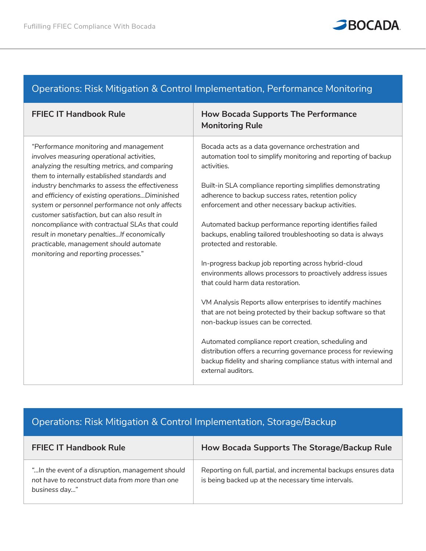

### Operations: Risk Mitigation & Control Implementation, Performance Monitoring

| <b>FFIEC IT Handbook Rule</b>                                                                                                                                                                           | <b>How Bocada Supports The Performance</b><br><b>Monitoring Rule</b>                                                                                                                                              |
|---------------------------------------------------------------------------------------------------------------------------------------------------------------------------------------------------------|-------------------------------------------------------------------------------------------------------------------------------------------------------------------------------------------------------------------|
| "Performance monitoring and management<br>involves measuring operational activities,<br>analyzing the resulting metrics, and comparing<br>them to internally established standards and                  | Bocada acts as a data governance orchestration and<br>automation tool to simplify monitoring and reporting of backup<br>activities.                                                                               |
| industry benchmarks to assess the effectiveness<br>and efficiency of existing operationsDiminished<br>system or personnel performance not only affects<br>customer satisfaction, but can also result in | Built-in SLA compliance reporting simplifies demonstrating<br>adherence to backup success rates, retention policy<br>enforcement and other necessary backup activities.                                           |
| noncompliance with contractual SLAs that could<br>result in monetary penalties If economically<br>practicable, management should automate<br>monitoring and reporting processes."                       | Automated backup performance reporting identifies failed<br>backups, enabling tailored troubleshooting so data is always<br>protected and restorable.                                                             |
|                                                                                                                                                                                                         | In-progress backup job reporting across hybrid-cloud<br>environments allows processors to proactively address issues<br>that could harm data restoration.                                                         |
|                                                                                                                                                                                                         | VM Analysis Reports allow enterprises to identify machines<br>that are not being protected by their backup software so that<br>non-backup issues can be corrected.                                                |
|                                                                                                                                                                                                         | Automated compliance report creation, scheduling and<br>distribution offers a recurring governance process for reviewing<br>backup fidelity and sharing compliance status with internal and<br>external auditors. |

# Operations: Risk Mitigation & Control Implementation, Storage/Backup

| <b>FFIEC IT Handbook Rule</b>                                                                                         | How Bocada Supports The Storage/Backup Rule                                                                             |
|-----------------------------------------------------------------------------------------------------------------------|-------------------------------------------------------------------------------------------------------------------------|
| " In the event of a disruption, management should<br>not have to reconstruct data from more than one<br>business day" | Reporting on full, partial, and incremental backups ensures data<br>is being backed up at the necessary time intervals. |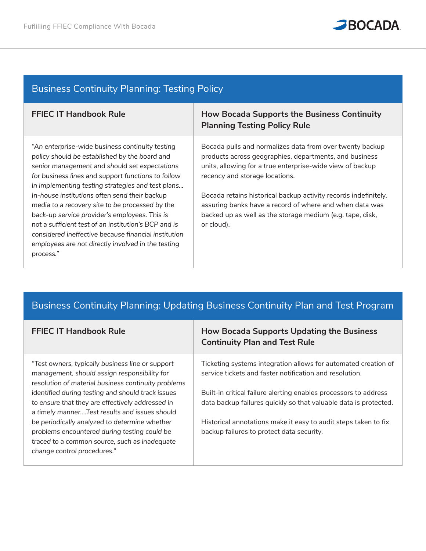

| <b>Business Continuity Planning: Testing Policy</b> |  |  |  |  |  |
|-----------------------------------------------------|--|--|--|--|--|
|-----------------------------------------------------|--|--|--|--|--|

| <b>FFIEC IT Handbook Rule</b>                                                                                                                                                                                                                                                                                                        | <b>How Bocada Supports the Business Continuity</b><br><b>Planning Testing Policy Rule</b>                                                                                                                         |
|--------------------------------------------------------------------------------------------------------------------------------------------------------------------------------------------------------------------------------------------------------------------------------------------------------------------------------------|-------------------------------------------------------------------------------------------------------------------------------------------------------------------------------------------------------------------|
| "An enterprise-wide business continuity testing<br>policy should be established by the board and<br>senior management and should set expectations<br>for business lines and support functions to follow<br>in implementing testing strategies and test plans                                                                         | Bocada pulls and normalizes data from over twenty backup<br>products across geographies, departments, and business<br>units, allowing for a true enterprise-wide view of backup<br>recency and storage locations. |
| In-house institutions often send their backup<br>media to a recovery site to be processed by the<br>back-up service provider's employees. This is<br>not a sufficient test of an institution's BCP and is<br>considered ineffective because financial institution<br>employees are not directly involved in the testing<br>process." | Bocada retains historical backup activity records indefinitely,<br>assuring banks have a record of where and when data was<br>backed up as well as the storage medium (e.g. tape, disk,<br>or cloud).             |

## Business Continuity Planning: Updating Business Continuity Plan and Test Program

| <b>FFIEC IT Handbook Rule</b>                                                                                                                           | <b>How Bocada Supports Updating the Business</b><br><b>Continuity Plan and Test Rule</b>                                  |
|---------------------------------------------------------------------------------------------------------------------------------------------------------|---------------------------------------------------------------------------------------------------------------------------|
| "Test owners, typically business line or support<br>management, should assign responsibility for<br>resolution of material business continuity problems | Ticketing systems integration allows for automated creation of<br>service tickets and faster notification and resolution. |
| identified during testing and should track issues                                                                                                       | Built-in critical failure alerting enables processors to address                                                          |
| to ensure that they are effectively addressed in<br>a timely mannerTest results and issues should                                                       | data backup failures quickly so that valuable data is protected.                                                          |
| be periodically analyzed to determine whether                                                                                                           | Historical annotations make it easy to audit steps taken to fix                                                           |
| problems encountered during testing could be                                                                                                            | backup failures to protect data security.                                                                                 |
| traced to a common source, such as inadequate                                                                                                           |                                                                                                                           |
| change control procedures."                                                                                                                             |                                                                                                                           |